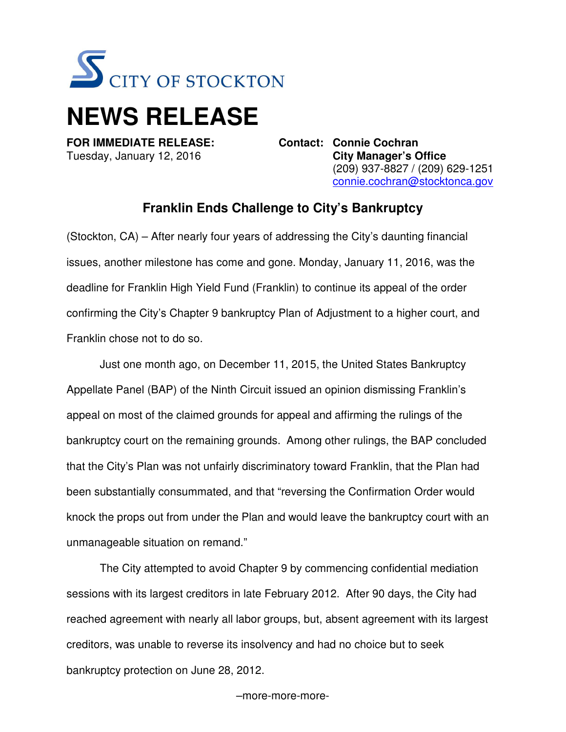

## **NEWS RELEASE**

**FOR IMMEDIATE RELEASE: Contact: Connie Cochran**  Tuesday, January 12, 2016 **City Manager's Office**  (209) 937-8827 / (209) 629-1251 connie.cochran@stocktonca.gov

## **Franklin Ends Challenge to City's Bankruptcy**

(Stockton, CA) – After nearly four years of addressing the City's daunting financial issues, another milestone has come and gone. Monday, January 11, 2016, was the deadline for Franklin High Yield Fund (Franklin) to continue its appeal of the order confirming the City's Chapter 9 bankruptcy Plan of Adjustment to a higher court, and Franklin chose not to do so.

Just one month ago, on December 11, 2015, the United States Bankruptcy Appellate Panel (BAP) of the Ninth Circuit issued an opinion dismissing Franklin's appeal on most of the claimed grounds for appeal and affirming the rulings of the bankruptcy court on the remaining grounds. Among other rulings, the BAP concluded that the City's Plan was not unfairly discriminatory toward Franklin, that the Plan had been substantially consummated, and that "reversing the Confirmation Order would knock the props out from under the Plan and would leave the bankruptcy court with an unmanageable situation on remand."

 The City attempted to avoid Chapter 9 by commencing confidential mediation sessions with its largest creditors in late February 2012. After 90 days, the City had reached agreement with nearly all labor groups, but, absent agreement with its largest creditors, was unable to reverse its insolvency and had no choice but to seek bankruptcy protection on June 28, 2012.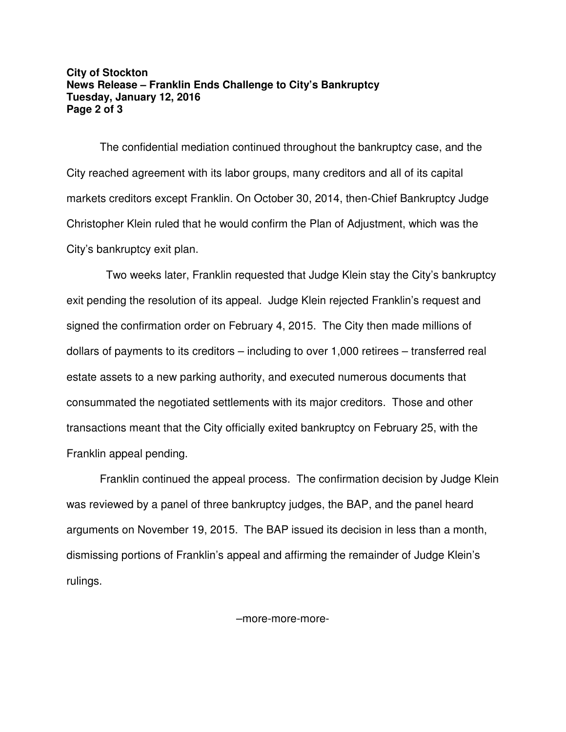## **City of Stockton News Release – Franklin Ends Challenge to City's Bankruptcy Tuesday, January 12, 2016 Page 2 of 3**

The confidential mediation continued throughout the bankruptcy case, and the City reached agreement with its labor groups, many creditors and all of its capital markets creditors except Franklin. On October 30, 2014, then-Chief Bankruptcy Judge Christopher Klein ruled that he would confirm the Plan of Adjustment, which was the City's bankruptcy exit plan.

 Two weeks later, Franklin requested that Judge Klein stay the City's bankruptcy exit pending the resolution of its appeal. Judge Klein rejected Franklin's request and signed the confirmation order on February 4, 2015. The City then made millions of dollars of payments to its creditors – including to over 1,000 retirees – transferred real estate assets to a new parking authority, and executed numerous documents that consummated the negotiated settlements with its major creditors. Those and other transactions meant that the City officially exited bankruptcy on February 25, with the Franklin appeal pending.

Franklin continued the appeal process. The confirmation decision by Judge Klein was reviewed by a panel of three bankruptcy judges, the BAP, and the panel heard arguments on November 19, 2015. The BAP issued its decision in less than a month, dismissing portions of Franklin's appeal and affirming the remainder of Judge Klein's rulings.

–more-more-more-